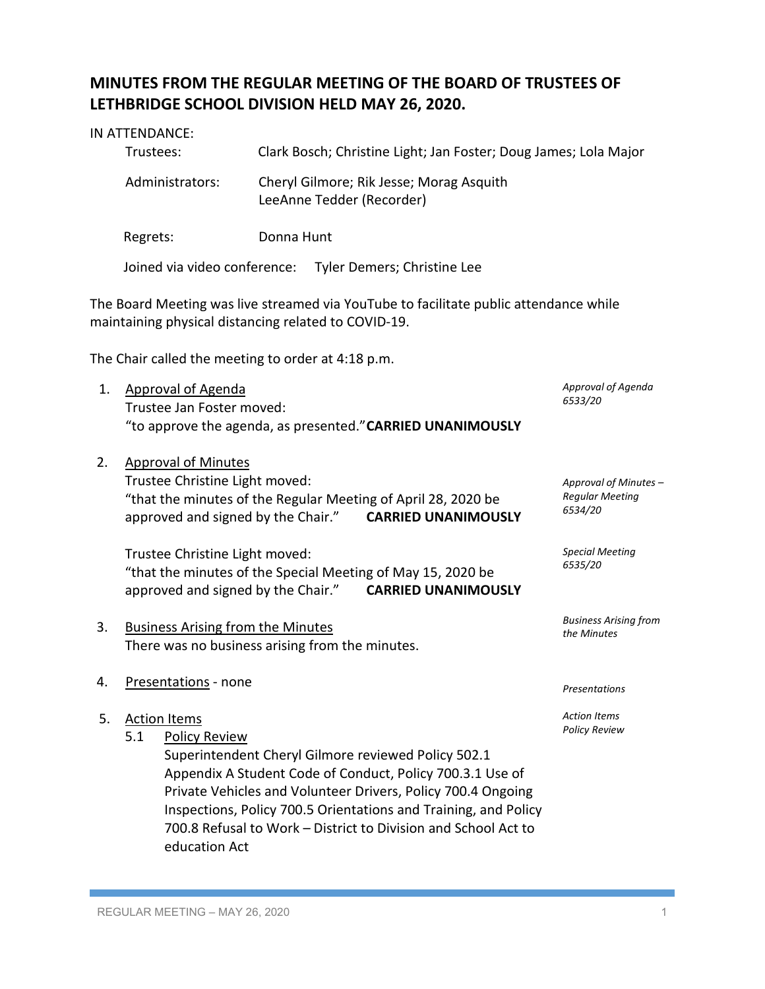# **MINUTES FROM THE REGULAR MEETING OF THE BOARD OF TRUSTEES OF LETHBRIDGE SCHOOL DIVISION HELD MAY 26, 2020.**

|                                                                                                                                               | IN ATTENDANCE:                                                                                     |                                                                                                                                                                                                                                                                                                                       |                                                            |  |
|-----------------------------------------------------------------------------------------------------------------------------------------------|----------------------------------------------------------------------------------------------------|-----------------------------------------------------------------------------------------------------------------------------------------------------------------------------------------------------------------------------------------------------------------------------------------------------------------------|------------------------------------------------------------|--|
|                                                                                                                                               | Clark Bosch; Christine Light; Jan Foster; Doug James; Lola Major<br>Trustees:                      |                                                                                                                                                                                                                                                                                                                       |                                                            |  |
|                                                                                                                                               | Administrators:                                                                                    | Cheryl Gilmore; Rik Jesse; Morag Asquith<br>LeeAnne Tedder (Recorder)                                                                                                                                                                                                                                                 |                                                            |  |
|                                                                                                                                               | Regrets:                                                                                           | Donna Hunt                                                                                                                                                                                                                                                                                                            |                                                            |  |
|                                                                                                                                               | Joined via video conference:                                                                       | Tyler Demers; Christine Lee                                                                                                                                                                                                                                                                                           |                                                            |  |
| The Board Meeting was live streamed via YouTube to facilitate public attendance while<br>maintaining physical distancing related to COVID-19. |                                                                                                    |                                                                                                                                                                                                                                                                                                                       |                                                            |  |
|                                                                                                                                               |                                                                                                    | The Chair called the meeting to order at 4:18 p.m.                                                                                                                                                                                                                                                                    |                                                            |  |
| 1.                                                                                                                                            | <b>Approval of Agenda</b><br>Trustee Jan Foster moved:                                             | "to approve the agenda, as presented." CARRIED UNANIMOUSLY                                                                                                                                                                                                                                                            | Approval of Agenda<br>6533/20                              |  |
| 2.                                                                                                                                            | <b>Approval of Minutes</b><br>Trustee Christine Light moved:<br>approved and signed by the Chair." | "that the minutes of the Regular Meeting of April 28, 2020 be<br><b>CARRIED UNANIMOUSLY</b>                                                                                                                                                                                                                           | Approval of Minutes -<br><b>Regular Meeting</b><br>6534/20 |  |
|                                                                                                                                               | Trustee Christine Light moved:<br>approved and signed by the Chair."                               | "that the minutes of the Special Meeting of May 15, 2020 be<br><b>CARRIED UNANIMOUSLY</b>                                                                                                                                                                                                                             | <b>Special Meeting</b><br>6535/20                          |  |
| 3.                                                                                                                                            | <b>Business Arising from the Minutes</b>                                                           | There was no business arising from the minutes.                                                                                                                                                                                                                                                                       | <b>Business Arising from</b><br>the Minutes                |  |
|                                                                                                                                               | <b>Presentations - none</b>                                                                        |                                                                                                                                                                                                                                                                                                                       | Presentations                                              |  |
| 5.                                                                                                                                            | <b>Action Items</b><br>5.1<br><b>Policy Review</b><br>education Act                                | Superintendent Cheryl Gilmore reviewed Policy 502.1<br>Appendix A Student Code of Conduct, Policy 700.3.1 Use of<br>Private Vehicles and Volunteer Drivers, Policy 700.4 Ongoing<br>Inspections, Policy 700.5 Orientations and Training, and Policy<br>700.8 Refusal to Work - District to Division and School Act to | <b>Action Items</b><br><b>Policy Review</b>                |  |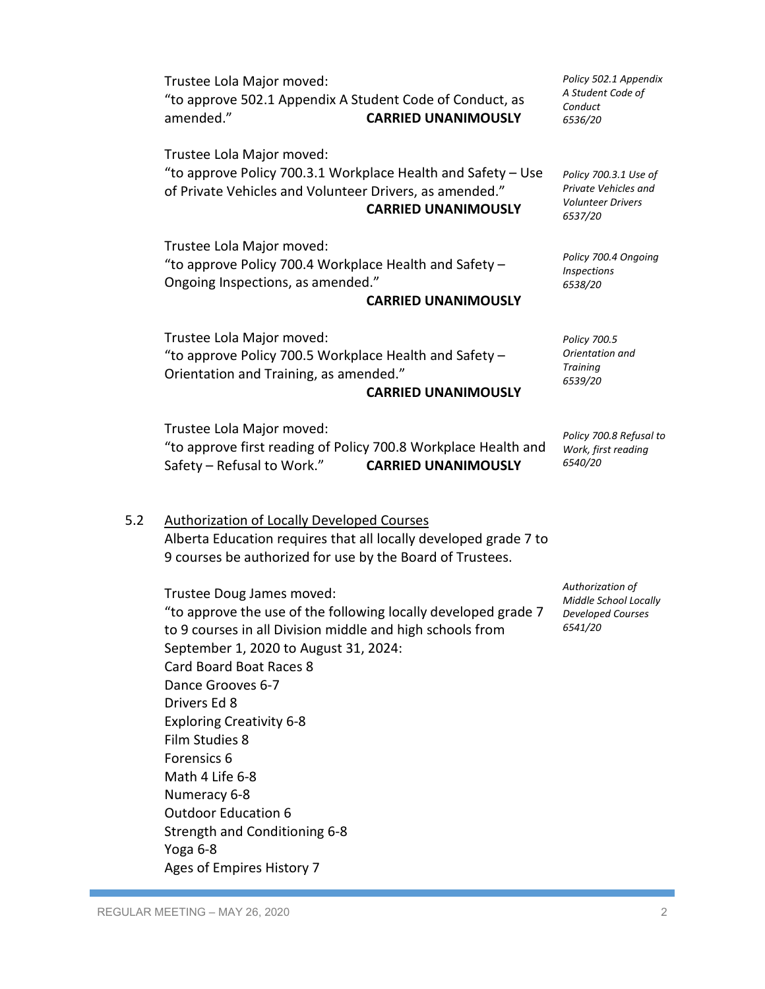|     | Trustee Lola Major moved:<br>"to approve 502.1 Appendix A Student Code of Conduct, as<br>amended."                                                                                                                                                                                                                                                                                                                                                                                                                                                                                                                                                                     | <b>CARRIED UNANIMOUSLY</b> | Policy 502.1 Appendix<br>A Student Code of<br>Conduct<br>6536/20                     |
|-----|------------------------------------------------------------------------------------------------------------------------------------------------------------------------------------------------------------------------------------------------------------------------------------------------------------------------------------------------------------------------------------------------------------------------------------------------------------------------------------------------------------------------------------------------------------------------------------------------------------------------------------------------------------------------|----------------------------|--------------------------------------------------------------------------------------|
|     | Trustee Lola Major moved:<br>"to approve Policy 700.3.1 Workplace Health and Safety - Use<br>of Private Vehicles and Volunteer Drivers, as amended."                                                                                                                                                                                                                                                                                                                                                                                                                                                                                                                   | <b>CARRIED UNANIMOUSLY</b> | Policy 700.3.1 Use of<br>Private Vehicles and<br><b>Volunteer Drivers</b><br>6537/20 |
|     | Trustee Lola Major moved:<br>"to approve Policy 700.4 Workplace Health and Safety -<br>Ongoing Inspections, as amended."                                                                                                                                                                                                                                                                                                                                                                                                                                                                                                                                               | <b>CARRIED UNANIMOUSLY</b> | Policy 700.4 Ongoing<br>Inspections<br>6538/20                                       |
|     | Trustee Lola Major moved:<br>"to approve Policy 700.5 Workplace Health and Safety -<br>Orientation and Training, as amended."                                                                                                                                                                                                                                                                                                                                                                                                                                                                                                                                          | <b>CARRIED UNANIMOUSLY</b> | Policy 700.5<br>Orientation and<br><b>Training</b><br>6539/20                        |
|     | Trustee Lola Major moved:<br>"to approve first reading of Policy 700.8 Workplace Health and<br>Safety - Refusal to Work."                                                                                                                                                                                                                                                                                                                                                                                                                                                                                                                                              | <b>CARRIED UNANIMOUSLY</b> | Policy 700.8 Refusal to<br>Work, first reading<br>6540/20                            |
| 5.2 | <b>Authorization of Locally Developed Courses</b><br>Alberta Education requires that all locally developed grade 7 to<br>9 courses be authorized for use by the Board of Trustees.<br>Trustee Doug James moved:<br>"to approve the use of the following locally developed grade 7<br>to 9 courses in all Division middle and high schools from<br>September 1, 2020 to August 31, 2024:<br>Card Board Boat Races 8<br>Dance Grooves 6-7<br>Drivers Ed 8<br><b>Exploring Creativity 6-8</b><br>Film Studies 8<br>Forensics 6<br>Math 4 Life 6-8<br>Numeracy 6-8<br><b>Outdoor Education 6</b><br>Strength and Conditioning 6-8<br>Yoga 6-8<br>Ages of Empires History 7 |                            | Authorization of<br>Middle School Locally<br><b>Developed Courses</b><br>6541/20     |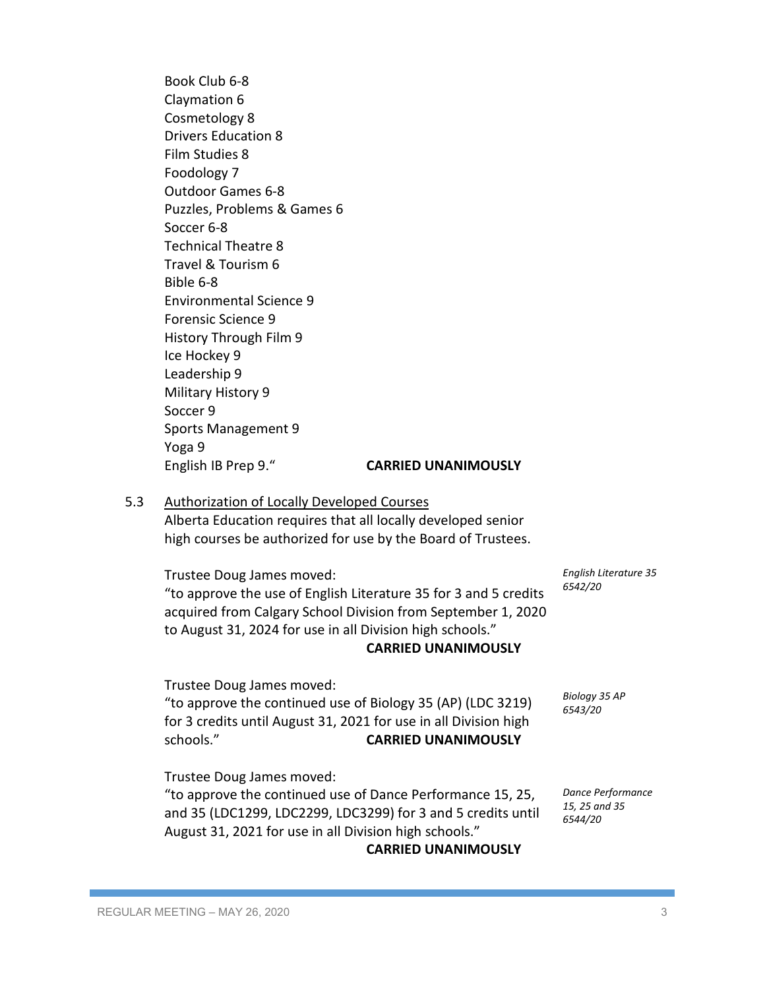Book Club 6-8 Claymation 6 Cosmetology 8 Drivers Education 8 Film Studies 8 Foodology 7 Outdoor Games 6-8 Puzzles, Problems & Games 6 Soccer 6-8 Technical Theatre 8 Travel & Tourism 6 Bible 6-8 Environmental Science 9 Forensic Science 9 History Through Film 9 Ice Hockey 9 Leadership 9 Military History 9 Soccer 9 Sports Management 9 Yoga 9 English IB Prep 9." **CARRIED UNANIMOUSLY**

#### 5.3 Authorization of Locally Developed Courses Alberta Education requires that all locally developed senior high courses be authorized for use by the Board of Trustees.

Trustee Doug James moved: "to approve the use of English Literature 35 for 3 and 5 credits acquired from Calgary School Division from September 1, 2020 to August 31, 2024 for use in all Division high schools."

# **CARRIED UNANIMOUSLY**

Trustee Doug James moved:

"to approve the continued use of Biology 35 (AP) (LDC 3219) for 3 credits until August 31, 2021 for use in all Division high schools." **CARRIED UNANIMOUSLY**

Trustee Doug James moved:

"to approve the continued use of Dance Performance 15, 25, and 35 (LDC1299, LDC2299, LDC3299) for 3 and 5 credits until August 31, 2021 for use in all Division high schools." **CARRIED UNANIMOUSLY**

*Dance Performance 15, 25 and 35 6544/20*

*Biology 35 AP 6543/20*

*English Literature 35*

*6542/20*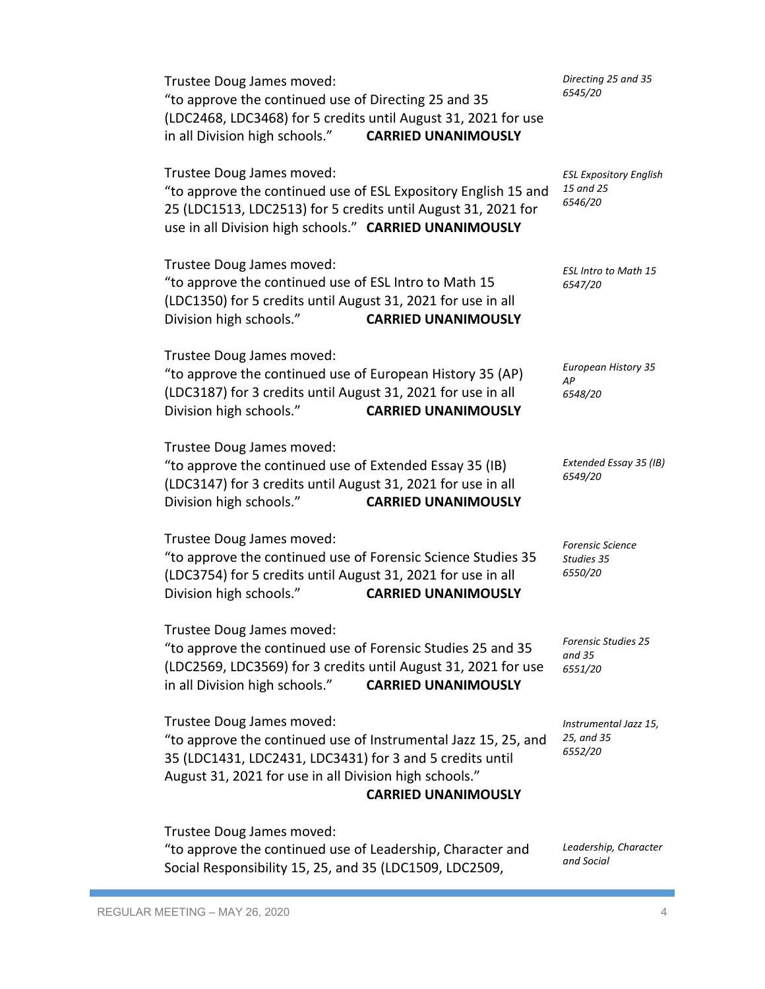| Trustee Doug James moved:<br>"to approve the continued use of Directing 25 and 35<br>(LDC2468, LDC3468) for 5 credits until August 31, 2021 for use<br>in all Division high schools."<br><b>CARRIED UNANIMOUSLY</b>                             | Directing 25 and 35<br>6545/20                        |
|-------------------------------------------------------------------------------------------------------------------------------------------------------------------------------------------------------------------------------------------------|-------------------------------------------------------|
| Trustee Doug James moved:<br>"to approve the continued use of ESL Expository English 15 and<br>25 (LDC1513, LDC2513) for 5 credits until August 31, 2021 for<br>use in all Division high schools." CARRIED UNANIMOUSLY                          | <b>ESL Expository English</b><br>15 and 25<br>6546/20 |
| Trustee Doug James moved:<br>"to approve the continued use of ESL Intro to Math 15<br>(LDC1350) for 5 credits until August 31, 2021 for use in all<br>Division high schools."<br><b>CARRIED UNANIMOUSLY</b>                                     | ESL Intro to Math 15<br>6547/20                       |
| Trustee Doug James moved:<br>"to approve the continued use of European History 35 (AP)<br>(LDC3187) for 3 credits until August 31, 2021 for use in all<br>Division high schools."<br><b>CARRIED UNANIMOUSLY</b>                                 | European History 35<br>АP<br>6548/20                  |
| Trustee Doug James moved:<br>"to approve the continued use of Extended Essay 35 (IB)<br>(LDC3147) for 3 credits until August 31, 2021 for use in all<br>Division high schools."<br><b>CARRIED UNANIMOUSLY</b>                                   | Extended Essay 35 (IB)<br>6549/20                     |
| Trustee Doug James moved:<br>"to approve the continued use of Forensic Science Studies 35<br>(LDC3754) for 5 credits until August 31, 2021 for use in all<br>Division high schools."<br><b>CARRIED UNANIMOUSLY</b>                              | <b>Forensic Science</b><br>Studies 35<br>6550/20      |
| Trustee Doug James moved:<br>"to approve the continued use of Forensic Studies 25 and 35<br>(LDC2569, LDC3569) for 3 credits until August 31, 2021 for use<br>in all Division high schools."<br><b>CARRIED UNANIMOUSLY</b>                      | <b>Forensic Studies 25</b><br>and 35<br>6551/20       |
| Trustee Doug James moved:<br>"to approve the continued use of Instrumental Jazz 15, 25, and<br>35 (LDC1431, LDC2431, LDC3431) for 3 and 5 credits until<br>August 31, 2021 for use in all Division high schools."<br><b>CARRIED UNANIMOUSLY</b> | Instrumental Jazz 15,<br>25, and 35<br>6552/20        |
| Trustee Doug James moved:<br>"to approve the continued use of Leadership, Character and<br>Social Responsibility 15, 25, and 35 (LDC1509, LDC2509,                                                                                              | Leadership, Character<br>and Social                   |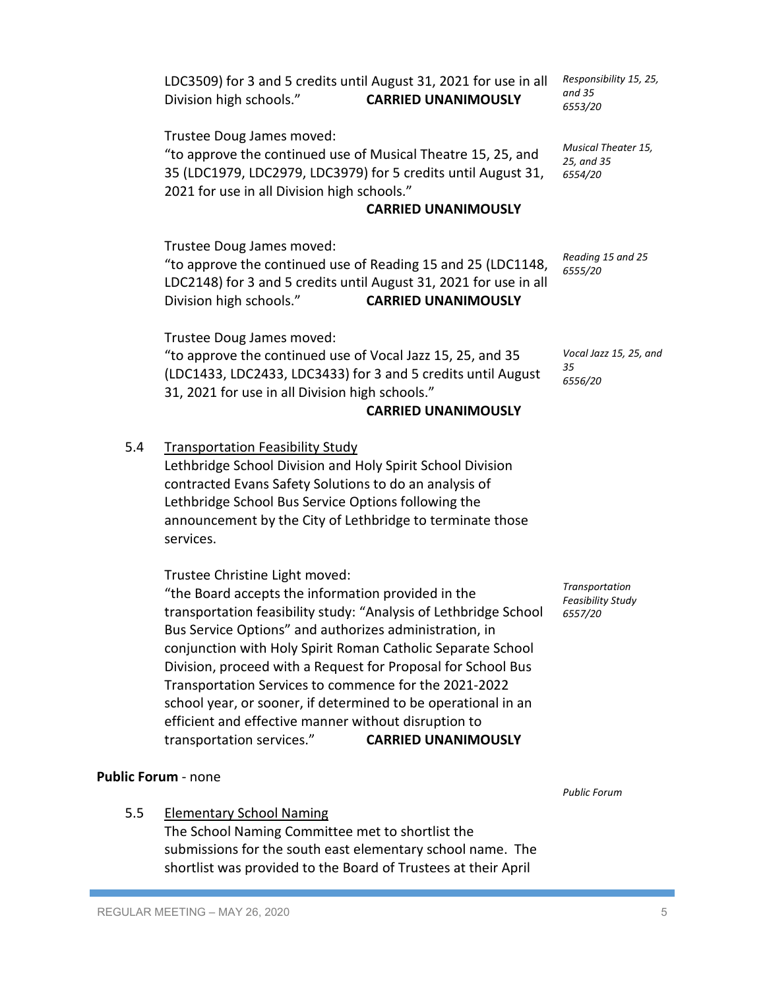LDC3509) for 3 and 5 credits until August 31, 2021 for use in all Division high schools." **CARRIED UNANIMOUSLY**

Trustee Doug James moved:

"to approve the continued use of Musical Theatre 15, 25, and 35 (LDC1979, LDC2979, LDC3979) for 5 credits until August 31, 2021 for use in all Division high schools." *Musical Theater 15, 25, and 35*

#### **CARRIED UNANIMOUSLY**

Trustee Doug James moved:

"to approve the continued use of Reading 15 and 25 (LDC1148, LDC2148) for 3 and 5 credits until August 31, 2021 for use in all Division high schools." **CARRIED UNANIMOUSLY** *Reading 15 and 25*

Trustee Doug James moved:

"to approve the continued use of Vocal Jazz 15, 25, and 35 (LDC1433, LDC2433, LDC3433) for 3 and 5 credits until August 31, 2021 for use in all Division high schools."

#### **CARRIED UNANIMOUSLY**

5.4 Transportation Feasibility Study Lethbridge School Division and Holy Spirit School Division contracted Evans Safety Solutions to do an analysis of Lethbridge School Bus Service Options following the announcement by the City of Lethbridge to terminate those services.

Trustee Christine Light moved:

"the Board accepts the information provided in the transportation feasibility study: "Analysis of Lethbridge School Bus Service Options" and authorizes administration, in conjunction with Holy Spirit Roman Catholic Separate School Division, proceed with a Request for Proposal for School Bus Transportation Services to commence for the 2021-2022 school year, or sooner, if determined to be operational in an efficient and effective manner without disruption to transportation services." **CARRIED UNANIMOUSLY**

#### **Public Forum** - none

5.5 Elementary School Naming

The School Naming Committee met to shortlist the submissions for the south east elementary school name. The shortlist was provided to the Board of Trustees at their April

*Public Forum*

*Transportation Feasibility Study 6557/20*

*6555/20*

*6554/20*

*Responsibility 15, 25,* 

*and 35 6553/20*

*Vocal Jazz 15, 25, and 35 6556/20*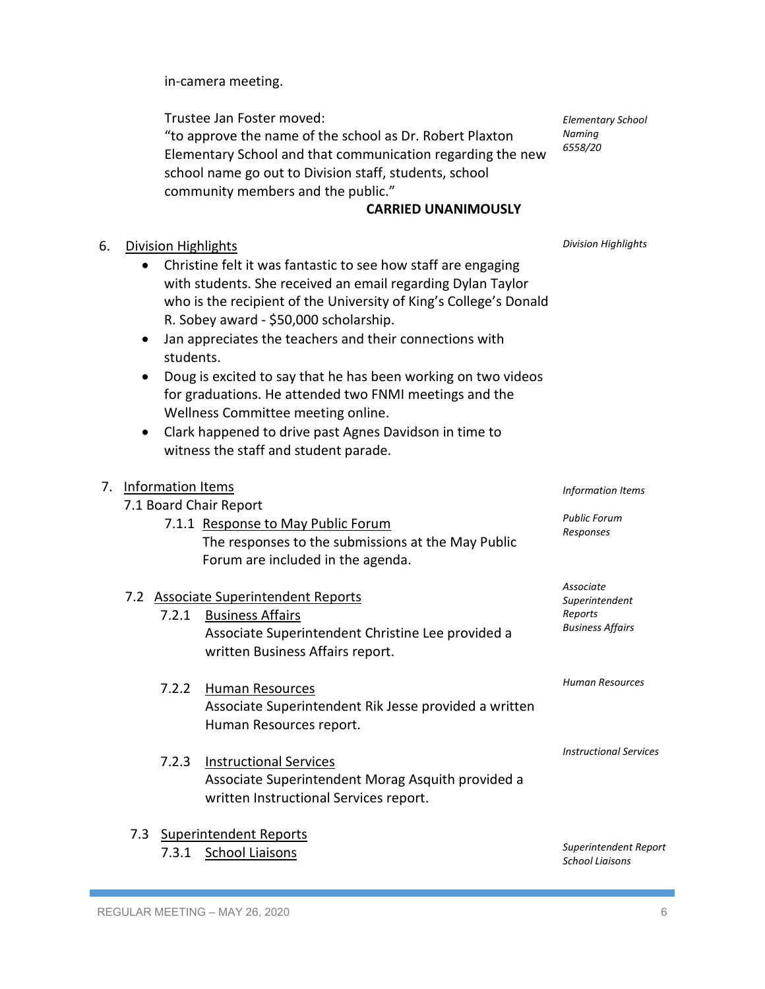in-camera meeting.

Trustee Jan Foster moved:

"to approve the name of the school as Dr. Robert Plaxton Elementary School and that communication regarding the new school name go out to Division staff, students, school community members and the public."

#### **CARRIED UNANIMOUSLY**

*Elementary School Naming 6558/20*

*Division Highlights*

*Information Items*

*Public Forum Responses*

*Associate Superintendent Reports Business Affairs*

*Human Resources*

*Instructional Services*

| Division Highlights<br>6. |
|---------------------------|
|---------------------------|

- Christine felt it was fantastic to see how staff are engaging with students. She received an email regarding Dylan Taylor who is the recipient of the University of King's College's Donald R. Sobey award - \$50,000 scholarship.
- Jan appreciates the teachers and their connections with students.
- Doug is excited to say that he has been working on two videos for graduations. He attended two FNMI meetings and the Wellness Committee meeting online.
- Clark happened to drive past Agnes Davidson in time to witness the staff and student parade.

# 7. Information Items

|  |  |  | 7.1 Board Chair Report |
|--|--|--|------------------------|
|--|--|--|------------------------|

7.1.1 Response to May Public Forum The responses to the submissions at the May Public Forum are included in the agenda.

# 7.2 Associate Superintendent Reports

7.2.1 Business Affairs Associate Superintendent Christine Lee provided a written Business Affairs report.

# 7.2.2 Human Resources Associate Superintendent Rik Jesse provided a written Human Resources report.

7.2.3 Instructional Services Associate Superintendent Morag Asquith provided a written Instructional Services report.

#### 7.3 Superintendent Reports

7.3.1 School Liaisons

*Superintendent Report School Liaisons*